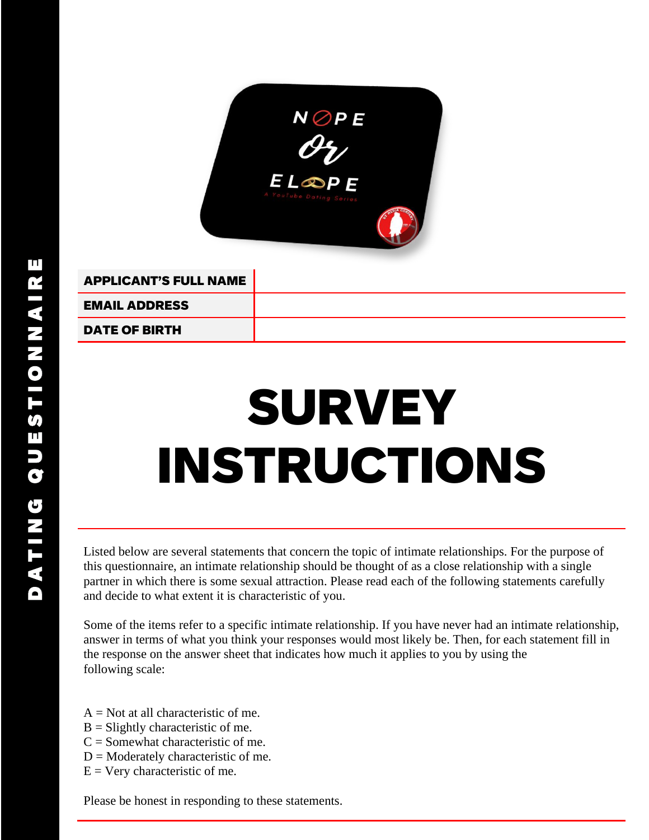

APPLICANT'S FULL NAME EMAIL ADDRESS

DATE OF BIRTH

## SURVEY INSTRUCTIONS

Listed below are several statements that concern the topic of intimate relationships. For the purpose of this questionnaire, an intimate relationship should be thought of as a close relationship with a single partner in which there is some sexual attraction. Please read each of the following statements carefully and decide to what extent it is characteristic of you.

Some of the items refer to a specific intimate relationship. If you have never had an intimate relationship, answer in terms of what you think your responses would most likely be. Then, for each statement fill in the response on the answer sheet that indicates how much it applies to you by using the following scale:

- $A = Not$  at all characteristic of me.
- $B =$ Slightly characteristic of me.
- $C =$  Somewhat characteristic of me.
- $D =$ Moderately characteristic of me.
- $E = V$ ery characteristic of me.

Please be honest in responding to these statements.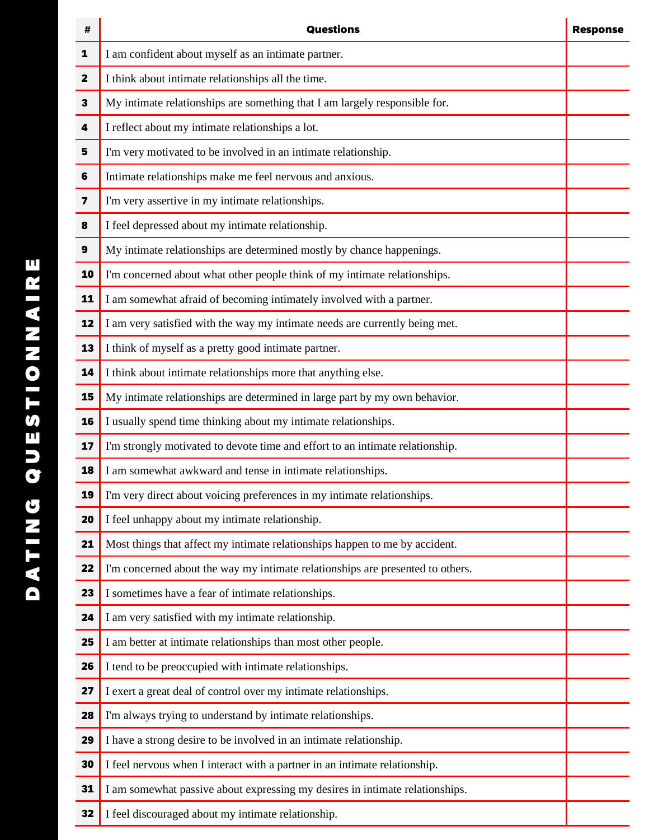| #           | <b>Questions</b>                                                               | <b>Response</b> |  |  |  |  |  |
|-------------|--------------------------------------------------------------------------------|-----------------|--|--|--|--|--|
| 1           | I am confident about myself as an intimate partner.                            |                 |  |  |  |  |  |
| $\mathbf 2$ | I think about intimate relationships all the time.                             |                 |  |  |  |  |  |
| 3           | My intimate relationships are something that I am largely responsible for.     |                 |  |  |  |  |  |
| 4           | I reflect about my intimate relationships a lot.                               |                 |  |  |  |  |  |
| 5           | I'm very motivated to be involved in an intimate relationship.                 |                 |  |  |  |  |  |
| 6           | Intimate relationships make me feel nervous and anxious.                       |                 |  |  |  |  |  |
| 7           | I'm very assertive in my intimate relationships.                               |                 |  |  |  |  |  |
| 8           | I feel depressed about my intimate relationship.                               |                 |  |  |  |  |  |
| 9           | My intimate relationships are determined mostly by chance happenings.          |                 |  |  |  |  |  |
| 10          | I'm concerned about what other people think of my intimate relationships.      |                 |  |  |  |  |  |
| 11          | I am somewhat afraid of becoming intimately involved with a partner.           |                 |  |  |  |  |  |
| 12          | I am very satisfied with the way my intimate needs are currently being met.    |                 |  |  |  |  |  |
| 13          | I think of myself as a pretty good intimate partner.                           |                 |  |  |  |  |  |
| 14          | I think about intimate relationships more that anything else.                  |                 |  |  |  |  |  |
| 15          | My intimate relationships are determined in large part by my own behavior.     |                 |  |  |  |  |  |
| 16          | I usually spend time thinking about my intimate relationships.                 |                 |  |  |  |  |  |
| 17          | I'm strongly motivated to devote time and effort to an intimate relationship.  |                 |  |  |  |  |  |
| 18          | I am somewhat awkward and tense in intimate relationships.                     |                 |  |  |  |  |  |
| 19          | I'm very direct about voicing preferences in my intimate relationships.        |                 |  |  |  |  |  |
| 20          | I feel unhappy about my intimate relationship.                                 |                 |  |  |  |  |  |
| 21          | Most things that affect my intimate relationships happen to me by accident.    |                 |  |  |  |  |  |
| 22          | I'm concerned about the way my intimate relationships are presented to others. |                 |  |  |  |  |  |
| 23          | I sometimes have a fear of intimate relationships.                             |                 |  |  |  |  |  |
| 24          | I am very satisfied with my intimate relationship.                             |                 |  |  |  |  |  |
| 25          | I am better at intimate relationships than most other people.                  |                 |  |  |  |  |  |
| 26          | I tend to be preoccupied with intimate relationships.                          |                 |  |  |  |  |  |
| 27          | I exert a great deal of control over my intimate relationships.                |                 |  |  |  |  |  |
| 28          | I'm always trying to understand by intimate relationships.                     |                 |  |  |  |  |  |
| 29          | I have a strong desire to be involved in an intimate relationship.             |                 |  |  |  |  |  |
| 30          | I feel nervous when I interact with a partner in an intimate relationship.     |                 |  |  |  |  |  |
| 31          | I am somewhat passive about expressing my desires in intimate relationships.   |                 |  |  |  |  |  |
| 32          | I feel discouraged about my intimate relationship.                             |                 |  |  |  |  |  |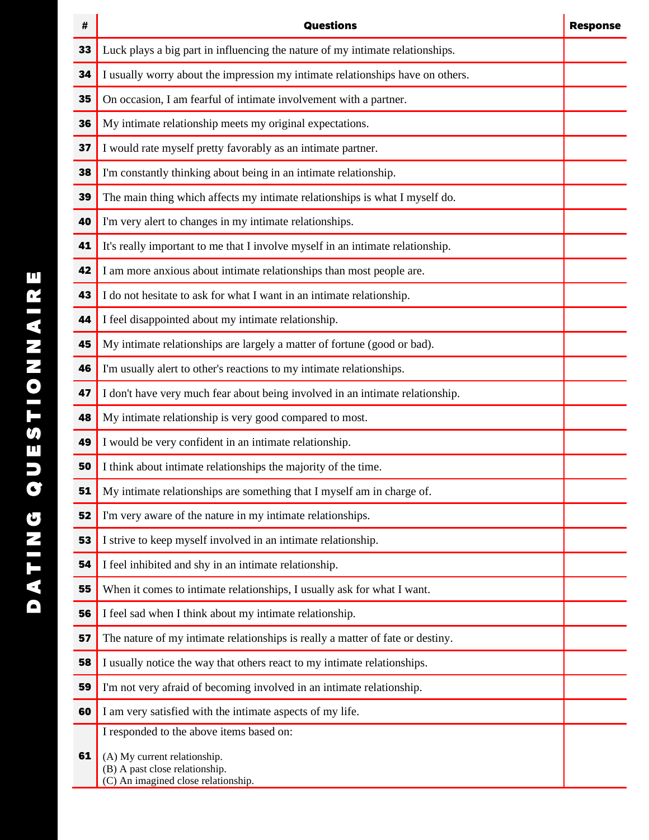| #  | <b>Questions</b>                                                                                      | <b>Response</b> |
|----|-------------------------------------------------------------------------------------------------------|-----------------|
| 33 | Luck plays a big part in influencing the nature of my intimate relationships.                         |                 |
| 34 | I usually worry about the impression my intimate relationships have on others.                        |                 |
| 35 | On occasion, I am fearful of intimate involvement with a partner.                                     |                 |
| 36 | My intimate relationship meets my original expectations.                                              |                 |
| 37 | I would rate myself pretty favorably as an intimate partner.                                          |                 |
| 38 | I'm constantly thinking about being in an intimate relationship.                                      |                 |
| 39 | The main thing which affects my intimate relationships is what I myself do.                           |                 |
| 40 | I'm very alert to changes in my intimate relationships.                                               |                 |
| 41 | It's really important to me that I involve myself in an intimate relationship.                        |                 |
| 42 | I am more anxious about intimate relationships than most people are.                                  |                 |
| 43 | I do not hesitate to ask for what I want in an intimate relationship.                                 |                 |
| 44 | I feel disappointed about my intimate relationship.                                                   |                 |
| 45 | My intimate relationships are largely a matter of fortune (good or bad).                              |                 |
| 46 | I'm usually alert to other's reactions to my intimate relationships.                                  |                 |
| 47 | I don't have very much fear about being involved in an intimate relationship.                         |                 |
| 48 | My intimate relationship is very good compared to most.                                               |                 |
| 49 | I would be very confident in an intimate relationship.                                                |                 |
| 50 | I think about intimate relationships the majority of the time.                                        |                 |
| 51 | My intimate relationships are something that I myself am in charge of.                                |                 |
| 52 | I'm very aware of the nature in my intimate relationships.                                            |                 |
| 53 | I strive to keep myself involved in an intimate relationship.                                         |                 |
| 54 | I feel inhibited and shy in an intimate relationship.                                                 |                 |
| 55 | When it comes to intimate relationships, I usually ask for what I want.                               |                 |
| 56 | I feel sad when I think about my intimate relationship.                                               |                 |
| 57 | The nature of my intimate relationships is really a matter of fate or destiny.                        |                 |
| 58 | I usually notice the way that others react to my intimate relationships.                              |                 |
| 59 | I'm not very afraid of becoming involved in an intimate relationship.                                 |                 |
| 60 | I am very satisfied with the intimate aspects of my life.                                             |                 |
|    | I responded to the above items based on:                                                              |                 |
| 61 | (A) My current relationship.<br>(B) A past close relationship.<br>(C) An imagined close relationship. |                 |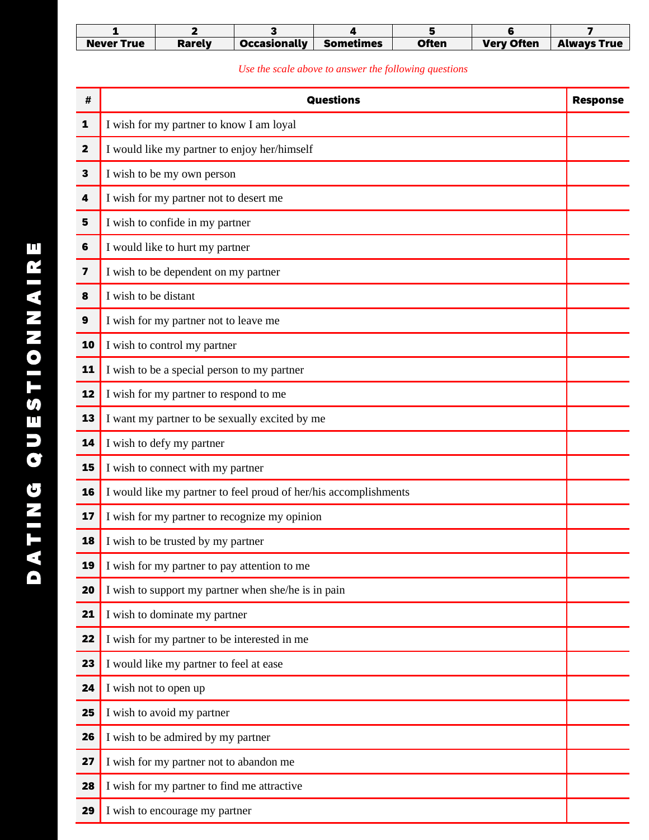| <b>Never True</b> | Rarelv | <b>Occasionally</b> | <b>Sometimes</b> | Often | <b>Very Often</b> | <b>Always True</b> |
|-------------------|--------|---------------------|------------------|-------|-------------------|--------------------|

|                  | 1                    | $\mathbf{2}$                                | 3                                                                | 4                                                     | 5            | 6                 | 7                  |  |  |
|------------------|----------------------|---------------------------------------------|------------------------------------------------------------------|-------------------------------------------------------|--------------|-------------------|--------------------|--|--|
|                  | <b>Never True</b>    | <b>Rarely</b>                               | <b>Occasionally</b>                                              | <b>Sometimes</b>                                      | <b>Often</b> | <b>Very Often</b> | <b>Always True</b> |  |  |
|                  |                      |                                             |                                                                  | Use the scale above to answer the following questions |              |                   |                    |  |  |
| #                | <b>Questions</b>     |                                             |                                                                  |                                                       |              |                   |                    |  |  |
| 1                |                      | I wish for my partner to know I am loyal    |                                                                  |                                                       |              |                   |                    |  |  |
| 2                |                      |                                             | I would like my partner to enjoy her/himself                     |                                                       |              |                   |                    |  |  |
| 3                |                      | I wish to be my own person                  |                                                                  |                                                       |              |                   |                    |  |  |
| 4                |                      | I wish for my partner not to desert me      |                                                                  |                                                       |              |                   |                    |  |  |
| $5\phantom{1}$   |                      | I wish to confide in my partner             |                                                                  |                                                       |              |                   |                    |  |  |
| 6                |                      | I would like to hurt my partner             |                                                                  |                                                       |              |                   |                    |  |  |
| 7                |                      | I wish to be dependent on my partner        |                                                                  |                                                       |              |                   |                    |  |  |
| 8                | I wish to be distant |                                             |                                                                  |                                                       |              |                   |                    |  |  |
| $\boldsymbol{9}$ |                      | I wish for my partner not to leave me       |                                                                  |                                                       |              |                   |                    |  |  |
| 10               |                      | I wish to control my partner                |                                                                  |                                                       |              |                   |                    |  |  |
| 11               |                      | I wish to be a special person to my partner |                                                                  |                                                       |              |                   |                    |  |  |
| 12               |                      | I wish for my partner to respond to me      |                                                                  |                                                       |              |                   |                    |  |  |
| 13               |                      |                                             | I want my partner to be sexually excited by me                   |                                                       |              |                   |                    |  |  |
| 14               |                      | I wish to defy my partner                   |                                                                  |                                                       |              |                   |                    |  |  |
| 15               |                      | I wish to connect with my partner           |                                                                  |                                                       |              |                   |                    |  |  |
| 16               |                      |                                             | I would like my partner to feel proud of her/his accomplishments |                                                       |              |                   |                    |  |  |
| 17               |                      |                                             | I wish for my partner to recognize my opinion                    |                                                       |              |                   |                    |  |  |
| 18               |                      | I wish to be trusted by my partner          |                                                                  |                                                       |              |                   |                    |  |  |
| 19               |                      |                                             | I wish for my partner to pay attention to me                     |                                                       |              |                   |                    |  |  |
| 20               |                      |                                             | I wish to support my partner when she/he is in pain              |                                                       |              |                   |                    |  |  |
| 21               |                      | I wish to dominate my partner               |                                                                  |                                                       |              |                   |                    |  |  |
| 22               |                      |                                             | I wish for my partner to be interested in me                     |                                                       |              |                   |                    |  |  |
| 23               |                      | I would like my partner to feel at ease     |                                                                  |                                                       |              |                   |                    |  |  |
| 24               |                      | I wish not to open up                       |                                                                  |                                                       |              |                   |                    |  |  |
| 25               |                      | I wish to avoid my partner                  |                                                                  |                                                       |              |                   |                    |  |  |
| 26               |                      | I wish to be admired by my partner          |                                                                  |                                                       |              |                   |                    |  |  |
| 27               |                      | I wish for my partner not to abandon me     |                                                                  |                                                       |              |                   |                    |  |  |
| 28               |                      | I wish for my partner to find me attractive |                                                                  |                                                       |              |                   |                    |  |  |
| 29               |                      | I wish to encourage my partner              |                                                                  |                                                       |              |                   |                    |  |  |